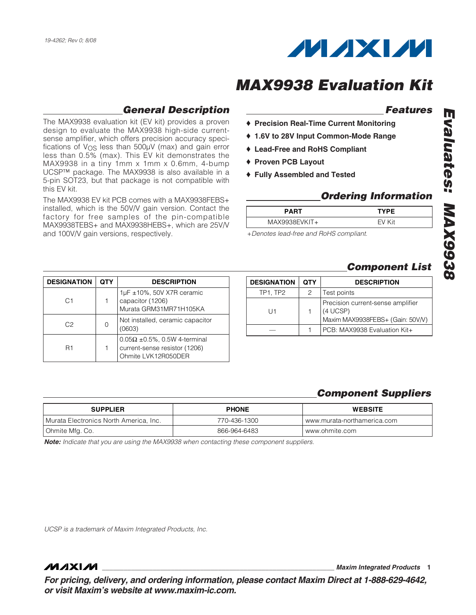

# **General Description**

The MAX9938 evaluation kit (EV kit) provides a proven design to evaluate the MAX9938 high-side currentsense amplifier, which offers precision accuracy specifications of  $V_{\text{OS}}$  less than  $500 \mu V$  (max) and gain error less than 0.5% (max). This EV kit demonstrates the MAX9938 in a tiny 1mm x 1mm x 0.6mm, 4-bump UCSP™ package. The MAX9938 is also available in a 5-pin SOT23, but that package is not compatible with this EV kit.

The MAX9938 EV kit PCB comes with a MAX9938FEBS+ installed, which is the 50V/V gain version. Contact the factory for free samples of the pin-compatible MAX9938TEBS+ and MAX9938HEBS+, which are 25V/V and 100V/V gain versions, respectively.

## **Features**

- ♦ **Precision Real-Time Current Monitoring**
- ♦ **1.6V to 28V Input Common-Mode Range**
- ♦ **Lead-Free and RoHS Compliant**
- ♦ **Proven PCB Layout**
- ♦ **Fully Assembled and Tested**

## **Ordering Information**

| <b>PART</b>      | <b>TYPE</b> |
|------------------|-------------|
| $MAX9938EVKIT +$ | FV Kit      |
|                  |             |

+Denotes lead-free and RoHS compliant.

### **Component List**

| <b>DESIGNATION</b> | <b>OTY</b> | <b>DESCRIPTION</b>                                                                |
|--------------------|------------|-----------------------------------------------------------------------------------|
| TP1, TP2           | 2          | Test points                                                                       |
| l 11               |            | Precision current-sense amplifier<br>(4 UCSP)<br>Maxim MAX9938FEBS+ (Gain: 50V/V) |
|                    |            | PCB: MAX9938 Evaluation Kit+                                                      |

| <b>DESIGNATION</b> | <b>QTY</b> | <b>DESCRIPTION</b>                                                                               |
|--------------------|------------|--------------------------------------------------------------------------------------------------|
| C1                 |            | $1\mu$ F ±10%, 50V X7R ceramic<br>capacitor (1206)<br>Murata GRM31MR71H105KA                     |
| C2                 |            | Not installed, ceramic capacitor<br>(0603)                                                       |
| R1                 |            | $0.05\Omega \pm 0.5\%$ , 0.5W 4-terminal<br>current-sense resistor (1206)<br>Ohmite LVK12R050DER |

## **Component Suppliers**

**\_\_\_\_\_\_\_\_\_\_\_\_\_\_\_\_\_\_\_\_\_\_\_\_\_\_\_\_\_\_\_\_\_\_\_\_\_\_\_\_\_\_\_\_\_\_\_\_\_\_\_\_\_\_\_\_\_\_\_\_\_\_\_\_ Maxim Integrated Products 1**

| <b>SUPPLIER</b>                        | <b>PHONE</b> | <b>WEBSITE</b>              |
|----------------------------------------|--------------|-----------------------------|
| Murata Electronics North America, Inc. | 770-436-1300 | www.murata-northamerica.com |
| Ohmite Mfg. Co.                        | 866-964-6483 | www.ohmite.com              |

**Note:** Indicate that you are using the MAX9938 when contacting these component suppliers.

UCSP is a trademark of Maxim Integrated Products, Inc.

**MAXM** 

**For pricing, delivery, and ordering information, please contact Maxim Direct at 1-888-629-4642, or visit Maxim's website at www.maxim-ic.com.**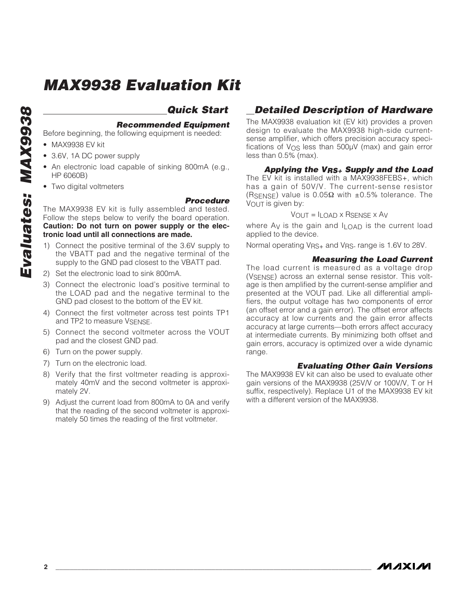# **Evaluates: MAX9938** Evaluates: MAX9938

# **Quick Start**

#### **Recommended Equipment**

Before beginning, the following equipment is needed:

- MAX9938 EV kit
- 3.6V, 1A DC power supply
- An electronic load capable of sinking 800mA (e.g., HP 6060B)
- Two digital voltmeters

#### **Procedure**

The MAX9938 EV kit is fully assembled and tested. Follow the steps below to verify the board operation. **Caution: Do not turn on power supply or the electronic load until all connections are made.**

- Connect the positive terminal of the 3.6V supply to the VBATT pad and the negative terminal of the supply to the GND pad closest to the VBATT pad.
- 2) Set the electronic load to sink 800mA.
- 3) Connect the electronic load's positive terminal to the LOAD pad and the negative terminal to the GND pad closest to the bottom of the EV kit.
- 4) Connect the first voltmeter across test points TP1 and TP2 to measure VSENSE.
- 5) Connect the second voltmeter across the VOUT pad and the closest GND pad.
- 6) Turn on the power supply.
- 7) Turn on the electronic load.
- 8) Verify that the first voltmeter reading is approximately 40mV and the second voltmeter is approximately 2V.
- 9) Adjust the current load from 800mA to 0A and verify that the reading of the second voltmeter is approximately 50 times the reading of the first voltmeter.

## **Detailed Description of Hardware**

The MAX9938 evaluation kit (EV kit) provides a proven design to evaluate the MAX9938 high-side currentsense amplifier, which offers precision accuracy specifications of VOS less than 500µV (max) and gain error less than 0.5% (max).

#### **Applying the VRS+ Supply and the Load**

The EV kit is installed with a MAX9938FEBS+, which has a gain of 50V/V. The current-sense resistor (RSENSE) value is  $0.05\Omega$  with  $\pm 0.5\%$  tolerance. The VOUT is given by:

#### $V_{\text{OUT}} = I_{\text{LOAD}} \times R_{\text{SENSE}} \times A_V$

where Ay is the gain and I<sub>LOAD</sub> is the current load applied to the device.

Normal operating VRS<sub>+</sub> and VRS- range is 1.6V to 28V.

#### **Measuring the Load Current**

The load current is measured as a voltage drop (VSENSE) across an external sense resistor. This voltage is then amplified by the current-sense amplifier and presented at the VOUT pad. Like all differential amplifiers, the output voltage has two components of error (an offset error and a gain error). The offset error affects accuracy at low currents and the gain error affects accuracy at large currents—both errors affect accuracy at intermediate currents. By minimizing both offset and gain errors, accuracy is optimized over a wide dynamic range.

#### **Evaluating Other Gain Versions**

The MAX9938 EV kit can also be used to evaluate other gain versions of the MAX9938 (25V/V or 100V/V, T or H suffix, respectively). Replace U1 of the MAX9938 EV kit with a different version of the MAX9938.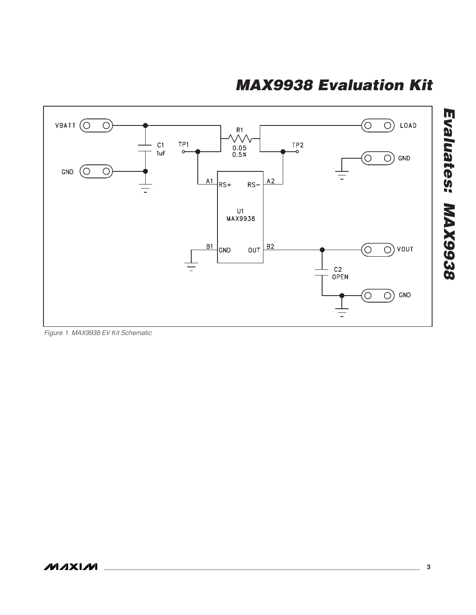

Figure 1. MAX9938 EV Kit Schematic

**Evaluates: MAX9938**